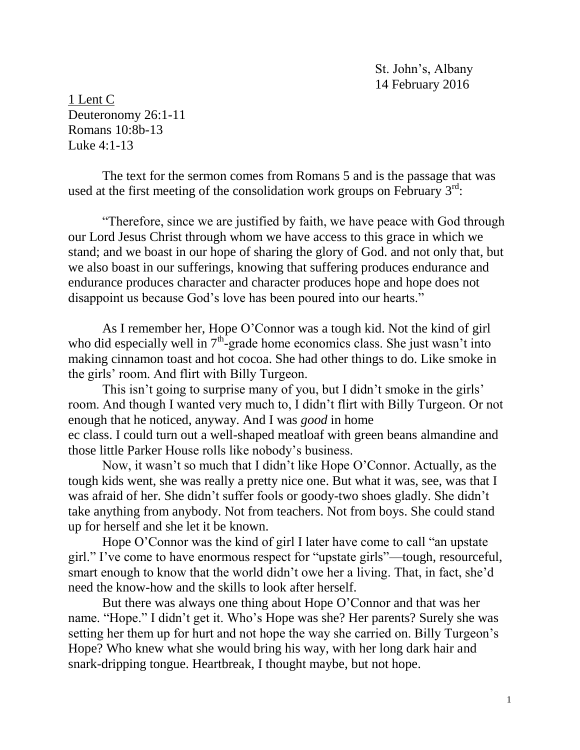St. John's, Albany 14 February 2016

1 Lent C Deuteronomy 26:1-11 Romans 10:8b-13 Luke 4:1-13

The text for the sermon comes from Romans 5 and is the passage that was used at the first meeting of the consolidation work groups on February  $3<sup>rd</sup>$ :

 "Therefore, since we are justified by faith, we have peace with God through our Lord Jesus Christ through whom we have access to this grace in which we stand; and we boast in our hope of sharing the glory of God. and not only that, but we also boast in our sufferings, knowing that suffering produces endurance and endurance produces character and character produces hope and hope does not disappoint us because God's love has been poured into our hearts."

As I remember her, Hope O'Connor was a tough kid. Not the kind of girl who did especially well in  $7<sup>th</sup>$ -grade home economics class. She just wasn't into making cinnamon toast and hot cocoa. She had other things to do. Like smoke in the girls' room. And flirt with Billy Turgeon.

This isn't going to surprise many of you, but I didn't smoke in the girls' room. And though I wanted very much to, I didn't flirt with Billy Turgeon. Or not enough that he noticed, anyway. And I was *good* in home ec class. I could turn out a well-shaped meatloaf with green beans almandine and those little Parker House rolls like nobody's business.

Now, it wasn't so much that I didn't like Hope O'Connor. Actually, as the tough kids went, she was really a pretty nice one. But what it was, see, was that I was afraid of her. She didn't suffer fools or goody-two shoes gladly. She didn't take anything from anybody. Not from teachers. Not from boys. She could stand up for herself and she let it be known.

Hope O'Connor was the kind of girl I later have come to call "an upstate girl." I've come to have enormous respect for "upstate girls"—tough, resourceful, smart enough to know that the world didn't owe her a living. That, in fact, she'd need the know-how and the skills to look after herself.

But there was always one thing about Hope O'Connor and that was her name. "Hope." I didn't get it. Who's Hope was she? Her parents? Surely she was setting her them up for hurt and not hope the way she carried on. Billy Turgeon's Hope? Who knew what she would bring his way, with her long dark hair and snark-dripping tongue. Heartbreak, I thought maybe, but not hope.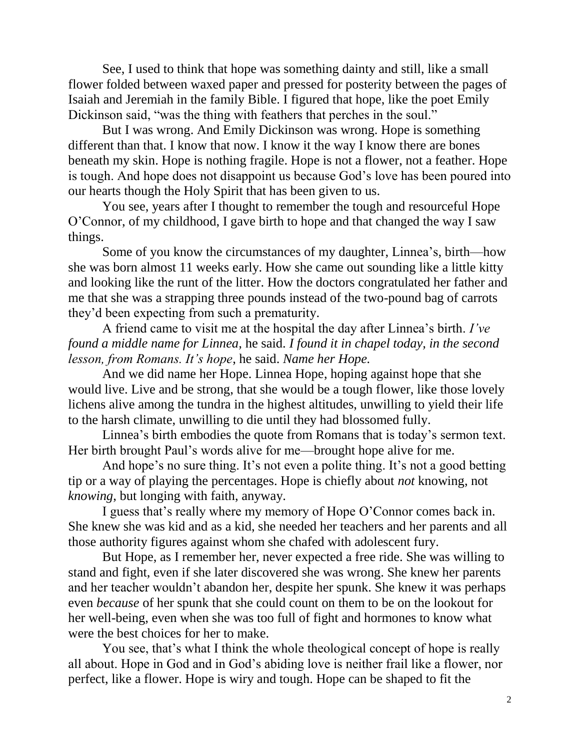See, I used to think that hope was something dainty and still, like a small flower folded between waxed paper and pressed for posterity between the pages of Isaiah and Jeremiah in the family Bible. I figured that hope, like the poet Emily Dickinson said, "was the thing with feathers that perches in the soul."

But I was wrong. And Emily Dickinson was wrong. Hope is something different than that. I know that now. I know it the way I know there are bones beneath my skin. Hope is nothing fragile. Hope is not a flower, not a feather. Hope is tough. And hope does not disappoint us because God's love has been poured into our hearts though the Holy Spirit that has been given to us.

You see, years after I thought to remember the tough and resourceful Hope O'Connor, of my childhood, I gave birth to hope and that changed the way I saw things.

Some of you know the circumstances of my daughter, Linnea's, birth—how she was born almost 11 weeks early. How she came out sounding like a little kitty and looking like the runt of the litter. How the doctors congratulated her father and me that she was a strapping three pounds instead of the two-pound bag of carrots they'd been expecting from such a prematurity.

A friend came to visit me at the hospital the day after Linnea's birth. *I've found a middle name for Linnea,* he said. *I found it in chapel today, in the second lesson, from Romans. It's hope*, he said. *Name her Hope.*

And we did name her Hope. Linnea Hope, hoping against hope that she would live. Live and be strong, that she would be a tough flower, like those lovely lichens alive among the tundra in the highest altitudes, unwilling to yield their life to the harsh climate, unwilling to die until they had blossomed fully.

Linnea's birth embodies the quote from Romans that is today's sermon text. Her birth brought Paul's words alive for me—brought hope alive for me.

And hope's no sure thing. It's not even a polite thing. It's not a good betting tip or a way of playing the percentages. Hope is chiefly about *not* knowing, not *knowing*, but longing with faith, anyway.

I guess that's really where my memory of Hope O'Connor comes back in. She knew she was kid and as a kid, she needed her teachers and her parents and all those authority figures against whom she chafed with adolescent fury.

But Hope, as I remember her, never expected a free ride. She was willing to stand and fight, even if she later discovered she was wrong. She knew her parents and her teacher wouldn't abandon her, despite her spunk. She knew it was perhaps even *because* of her spunk that she could count on them to be on the lookout for her well-being, even when she was too full of fight and hormones to know what were the best choices for her to make.

You see, that's what I think the whole theological concept of hope is really all about. Hope in God and in God's abiding love is neither frail like a flower, nor perfect, like a flower. Hope is wiry and tough. Hope can be shaped to fit the